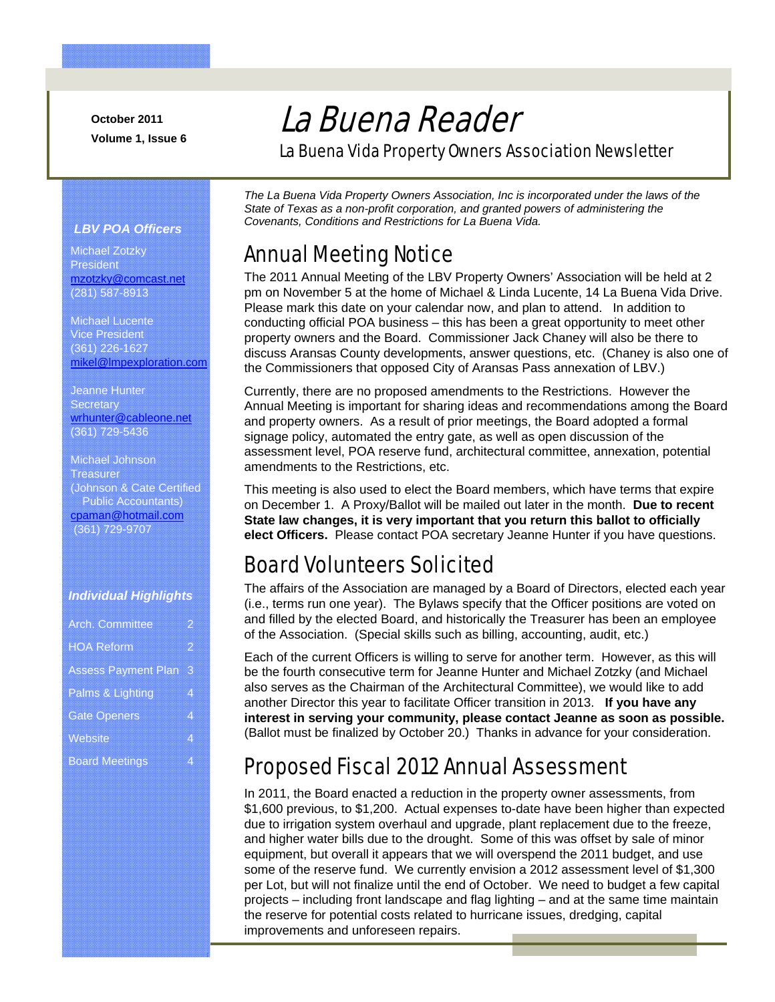**October 2011 Volume 1, Issue 6** 

# La Buena Reader

La Buena Vida Property Owners Association Newsletter

#### *LBV POA Officers*

Michael Zotzky **President** mzotzky@comcast.net (281) 587-8913

Michael Lucente Vice President (361) 226-1627 mikel@lmpexploration.com

Jeanne Hunter **Secretary** wrhunter@cableone.net (361) 729-5436

Michael Johnson **Treasurer** (Johnson & Cate Certified Public Accountants) cpaman@hotmail.com (361) 729-9707

#### *Individual Highlights*

| <b>Arch Committee</b>      | 2 |
|----------------------------|---|
| <b>HOA Reform</b>          | 2 |
| <b>Assess Payment Plan</b> | 3 |
| Palms & Lighting           | 4 |
| <b>Gate Openers</b>        | 4 |
| Website                    | 4 |
| <b>Board Meetings</b>      | 4 |

*The La Buena Vida Property Owners Association, Inc is incorporated under the laws of the State of Texas as a non-profit corporation, and granted powers of administering the Covenants, Conditions and Restrictions for La Buena Vida.* 

#### Annual Meeting Notice

The 2011 Annual Meeting of the LBV Property Owners' Association will be held at 2 pm on November 5 at the home of Michael & Linda Lucente, 14 La Buena Vida Drive. Please mark this date on your calendar now, and plan to attend. In addition to conducting official POA business – this has been a great opportunity to meet other property owners and the Board. Commissioner Jack Chaney will also be there to discuss Aransas County developments, answer questions, etc. (Chaney is also one of the Commissioners that opposed City of Aransas Pass annexation of LBV.)

Currently, there are no proposed amendments to the Restrictions. However the Annual Meeting is important for sharing ideas and recommendations among the Board and property owners. As a result of prior meetings, the Board adopted a formal signage policy, automated the entry gate, as well as open discussion of the assessment level, POA reserve fund, architectural committee, annexation, potential amendments to the Restrictions, etc.

This meeting is also used to elect the Board members, which have terms that expire on December 1. A Proxy/Ballot will be mailed out later in the month. **Due to recent State law changes, it is very important that you return this ballot to officially elect Officers.** Please contact POA secretary Jeanne Hunter if you have questions.

#### Board Volunteers Solicited

The affairs of the Association are managed by a Board of Directors, elected each year (i.e., terms run one year). The Bylaws specify that the Officer positions are voted on and filled by the elected Board, and historically the Treasurer has been an employee of the Association. (Special skills such as billing, accounting, audit, etc.)

Each of the current Officers is willing to serve for another term. However, as this will be the fourth consecutive term for Jeanne Hunter and Michael Zotzky (and Michael also serves as the Chairman of the Architectural Committee), we would like to add another Director this year to facilitate Officer transition in 2013. **If you have any interest in serving your community, please contact Jeanne as soon as possible.** (Ballot must be finalized by October 20.) Thanks in advance for your consideration.

## Proposed Fiscal 2012 Annual Assessment

In 2011, the Board enacted a reduction in the property owner assessments, from \$1,600 previous, to \$1,200. Actual expenses to-date have been higher than expected due to irrigation system overhaul and upgrade, plant replacement due to the freeze, and higher water bills due to the drought. Some of this was offset by sale of minor equipment, but overall it appears that we will overspend the 2011 budget, and use some of the reserve fund. We currently envision a 2012 assessment level of \$1,300 per Lot, but will not finalize until the end of October. We need to budget a few capital projects – including front landscape and flag lighting – and at the same time maintain the reserve for potential costs related to hurricane issues, dredging, capital improvements and unforeseen repairs.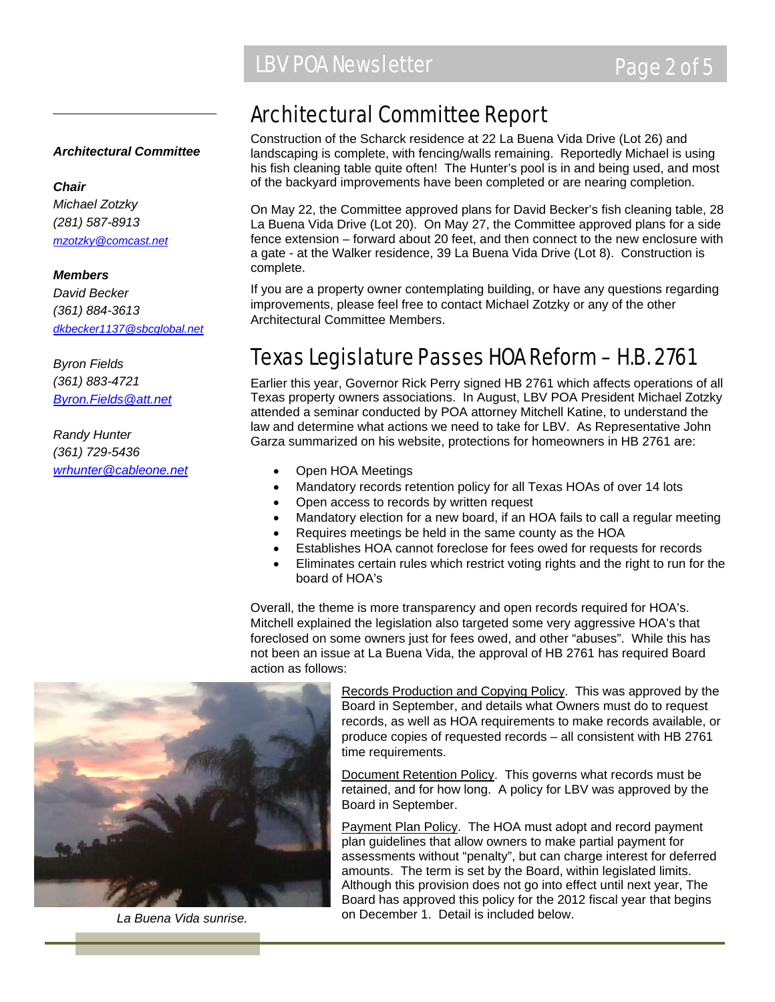#### *Architectural Committee*

#### *Chair*

*Michael Zotzky (281) 587-8913 mzotzky@comcast.net*

#### *Members*

*David Becker (361) 884-3613 dkbecker1137@sbcglobal.net*

*Byron Fields (361) 883-4721 Byron.Fields@att.net*

*Randy Hunter (361) 729-5436 wrhunter@cableone.net*

### Architectural Committee Report

Construction of the Scharck residence at 22 La Buena Vida Drive (Lot 26) and landscaping is complete, with fencing/walls remaining. Reportedly Michael is using his fish cleaning table quite often! The Hunter's pool is in and being used, and most of the backyard improvements have been completed or are nearing completion.

On May 22, the Committee approved plans for David Becker's fish cleaning table, 28 La Buena Vida Drive (Lot 20). On May 27, the Committee approved plans for a side fence extension – forward about 20 feet, and then connect to the new enclosure with a gate - at the Walker residence, 39 La Buena Vida Drive (Lot 8). Construction is complete.

If you are a property owner contemplating building, or have any questions regarding improvements, please feel free to contact Michael Zotzky or any of the other Architectural Committee Members.

#### Texas Legislature Passes HOA Reform – H.B. 2761

Earlier this year, Governor Rick Perry signed HB 2761 which affects operations of all Texas property owners associations. In August, LBV POA President Michael Zotzky attended a seminar conducted by POA attorney Mitchell Katine, to understand the law and determine what actions we need to take for LBV. As Representative John Garza summarized on his website, protections for homeowners in HB 2761 are:

- Open HOA Meetings
- Mandatory records retention policy for all Texas HOAs of over 14 lots
- Open access to records by written request
- Mandatory election for a new board, if an HOA fails to call a regular meeting
- Requires meetings be held in the same county as the HOA
- Establishes HOA cannot foreclose for fees owed for requests for records
- Eliminates certain rules which restrict voting rights and the right to run for the board of HOA's

Overall, the theme is more transparency and open records required for HOA's. Mitchell explained the legislation also targeted some very aggressive HOA's that foreclosed on some owners just for fees owed, and other "abuses". While this has not been an issue at La Buena Vida, the approval of HB 2761 has required Board action as follows:

Records Production and Copying Policy. This was approved by the Board in September, and details what Owners must do to request records, as well as HOA requirements to make records available, or produce copies of requested records – all consistent with HB 2761 time requirements.

Document Retention Policy. This governs what records must be retained, and for how long. A policy for LBV was approved by the Board in September.

Payment Plan Policy. The HOA must adopt and record payment plan guidelines that allow owners to make partial payment for assessments without "penalty", but can charge interest for deferred amounts. The term is set by the Board, within legislated limits. Although this provision does not go into effect until next year, The Board has approved this policy for the 2012 fiscal year that begins on December 1. Detail is included below. *La Buena Vida sunrise.*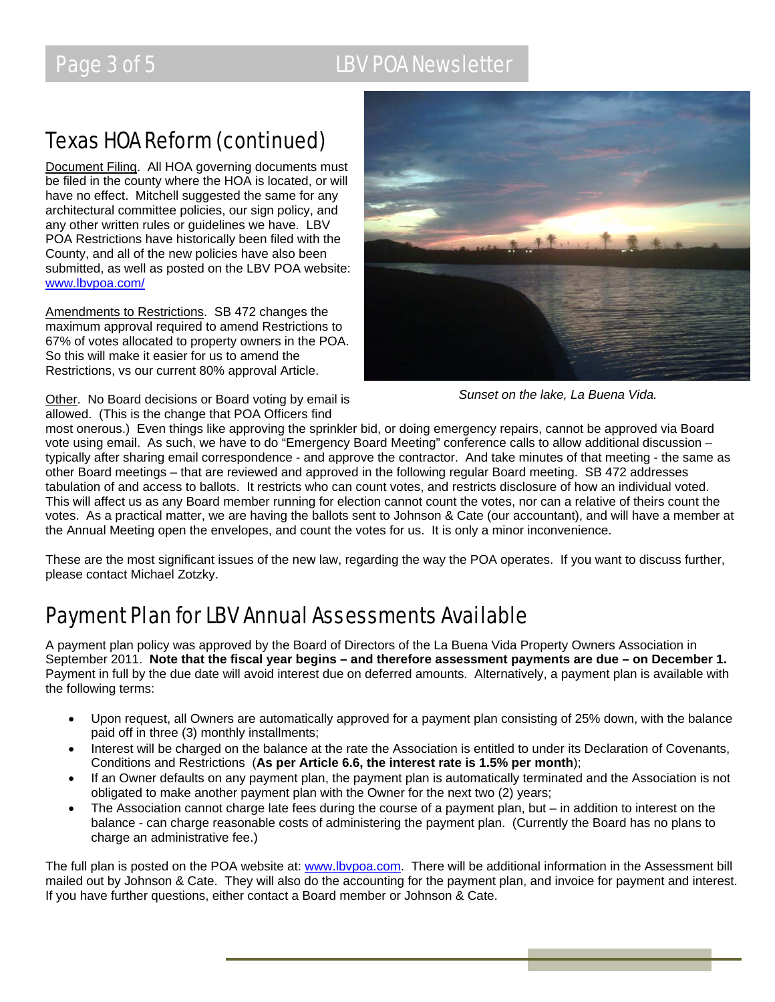## Page 3 of 5 LBV POA Newsletter

## Texas HOA Reform (continued)

Document Filing. All HOA governing documents must be filed in the county where the HOA is located, or will have no effect. Mitchell suggested the same for any architectural committee policies, our sign policy, and any other written rules or guidelines we have. LBV POA Restrictions have historically been filed with the County, and all of the new policies have also been submitted, as well as posted on the LBV POA website: www.lbvpoa.com/

Amendments to Restrictions. SB 472 changes the maximum approval required to amend Restrictions to 67% of votes allocated to property owners in the POA. So this will make it easier for us to amend the Restrictions, vs our current 80% approval Article.

Other. No Board decisions or Board voting by email is allowed. (This is the change that POA Officers find



*Sunset on the lake, La Buena Vida.* 

most onerous.) Even things like approving the sprinkler bid, or doing emergency repairs, cannot be approved via Board vote using email. As such, we have to do "Emergency Board Meeting" conference calls to allow additional discussion – typically after sharing email correspondence - and approve the contractor. And take minutes of that meeting - the same as other Board meetings – that are reviewed and approved in the following regular Board meeting. SB 472 addresses tabulation of and access to ballots. It restricts who can count votes, and restricts disclosure of how an individual voted. This will affect us as any Board member running for election cannot count the votes, nor can a relative of theirs count the votes. As a practical matter, we are having the ballots sent to Johnson & Cate (our accountant), and will have a member at the Annual Meeting open the envelopes, and count the votes for us. It is only a minor inconvenience.

These are the most significant issues of the new law, regarding the way the POA operates. If you want to discuss further, please contact Michael Zotzky.

## Payment Plan forLBV Annual Assessments Available

A payment plan policy was approved by the Board of Directors of the La Buena Vida Property Owners Association in September 2011. **Note that the fiscal year begins – and therefore assessment payments are due – on December 1.** Payment in full by the due date will avoid interest due on deferred amounts. Alternatively, a payment plan is available with the following terms:

- Upon request, all Owners are automatically approved for a payment plan consisting of 25% down, with the balance paid off in three (3) monthly installments;
- Interest will be charged on the balance at the rate the Association is entitled to under its Declaration of Covenants, Conditions and Restrictions (**As per Article 6.6, the interest rate is 1.5% per month**);
- If an Owner defaults on any payment plan, the payment plan is automatically terminated and the Association is not obligated to make another payment plan with the Owner for the next two (2) years;
- The Association cannot charge late fees during the course of a payment plan, but  $-$  in addition to interest on the balance - can charge reasonable costs of administering the payment plan. (Currently the Board has no plans to charge an administrative fee.)

The full plan is posted on the POA website at: www.lbvpoa.com. There will be additional information in the Assessment bill mailed out by Johnson & Cate. They will also do the accounting for the payment plan, and invoice for payment and interest. If you have further questions, either contact a Board member or Johnson & Cate.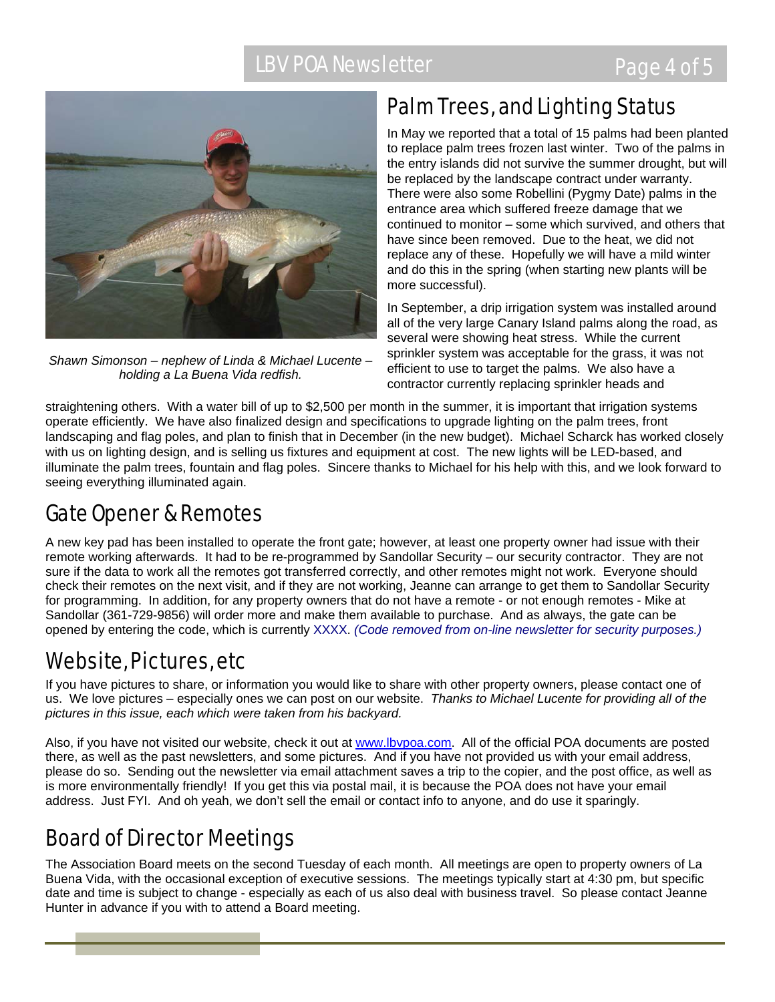## LBV POA Newsletter **EXAMPLE 2008** Page 4 of 5



*Shawn Simonson – nephew of Linda & Michael Lucente – holding a La Buena Vida redfish.* 

## Palm Trees, and Lighting Status

In May we reported that a total of 15 palms had been planted to replace palm trees frozen last winter. Two of the palms in the entry islands did not survive the summer drought, but will be replaced by the landscape contract under warranty. There were also some Robellini (Pygmy Date) palms in the entrance area which suffered freeze damage that we continued to monitor – some which survived, and others that have since been removed. Due to the heat, we did not replace any of these. Hopefully we will have a mild winter and do this in the spring (when starting new plants will be more successful).

In September, a drip irrigation system was installed around all of the very large Canary Island palms along the road, as several were showing heat stress. While the current sprinkler system was acceptable for the grass, it was not efficient to use to target the palms. We also have a contractor currently replacing sprinkler heads and

straightening others. With a water bill of up to \$2,500 per month in the summer, it is important that irrigation systems operate efficiently. We have also finalized design and specifications to upgrade lighting on the palm trees, front landscaping and flag poles, and plan to finish that in December (in the new budget). Michael Scharck has worked closely with us on lighting design, and is selling us fixtures and equipment at cost. The new lights will be LED-based, and illuminate the palm trees, fountain and flag poles. Sincere thanks to Michael for his help with this, and we look forward to seeing everything illuminated again.

## Gate Opener & Remotes

A new key pad has been installed to operate the front gate; however, at least one property owner had issue with their remote working afterwards. It had to be re-programmed by Sandollar Security – our security contractor. They are not sure if the data to work all the remotes got transferred correctly, and other remotes might not work. Everyone should check their remotes on the next visit, and if they are not working, Jeanne can arrange to get them to Sandollar Security for programming. In addition, for any property owners that do not have a remote - or not enough remotes - Mike at Sandollar (361-729-9856) will order more and make them available to purchase. And as always, the gate can be opened by entering the code, which is currently XXXX. *(Code removed from on-line newsletter for security purposes.)*

## Website, Pictures, etc

If you have pictures to share, or information you would like to share with other property owners, please contact one of us. We love pictures – especially ones we can post on our website. *Thanks to Michael Lucente for providing all of the pictures in this issue, each which were taken from his backyard.* 

Also, if you have not visited our website, check it out at www.lbypoa.com. All of the official POA documents are posted there, as well as the past newsletters, and some pictures. And if you have not provided us with your email address, please do so. Sending out the newsletter via email attachment saves a trip to the copier, and the post office, as well as is more environmentally friendly! If you get this via postal mail, it is because the POA does not have your email address. Just FYI. And oh yeah, we don't sell the email or contact info to anyone, and do use it sparingly.

## Board of Director Meetings

The Association Board meets on the second Tuesday of each month. All meetings are open to property owners of La Buena Vida, with the occasional exception of executive sessions. The meetings typically start at 4:30 pm, but specific date and time is subject to change - especially as each of us also deal with business travel. So please contact Jeanne Hunter in advance if you with to attend a Board meeting.